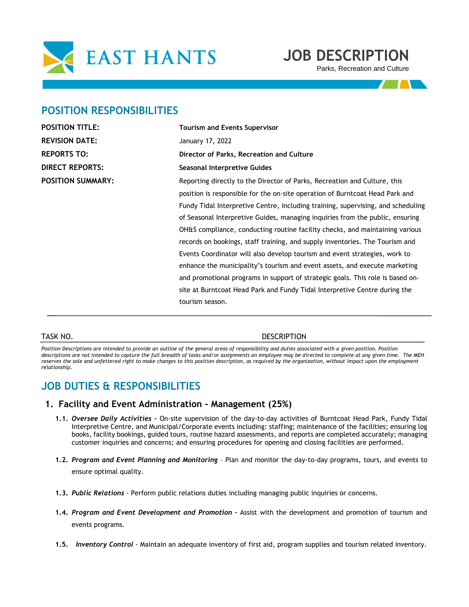

# **JOB DESCRIPTION**

Parks, Recreation and Culture

# **POSITION RESPONSIBILITIES**

| <b>POSITION TITLE:</b>   | <b>Tourism and Events Supervisor</b>                                             |  |
|--------------------------|----------------------------------------------------------------------------------|--|
| <b>REVISION DATE:</b>    | January 17, 2022                                                                 |  |
| <b>REPORTS TO:</b>       | Director of Parks, Recreation and Culture                                        |  |
| <b>DIRECT REPORTS:</b>   | Seasonal Interpretive Guides                                                     |  |
| <b>POSITION SUMMARY:</b> | Reporting directly to the Director of Parks, Recreation and Culture, this        |  |
|                          | position is responsible for the on-site operation of Burntcoat Head Park and     |  |
|                          | Fundy Tidal Interpretive Centre, including training, supervising, and scheduling |  |
|                          | of Seasonal Interpretive Guides, managing inquiries from the public, ensuring    |  |
|                          | OH&S compliance, conducting routine facility checks, and maintaining various     |  |
|                          | records on bookings, staff training, and supply inventories. The Tourism and     |  |
|                          | Events Coordinator will also develop tourism and event strategies, work to       |  |
|                          | enhance the municipality's tourism and event assets, and execute marketing       |  |
|                          | and promotional programs in support of strategic goals. This role is based on-   |  |
|                          | site at Burntcoat Head Park and Fundy Tidal Interpretive Centre during the       |  |
|                          | tourism season.                                                                  |  |
|                          |                                                                                  |  |

#### TASK NO. DESCRIPTION

Position Descriptions are intended to provide an outline of the general areas of responsibility and duties associated with a given position. Position *descriptions are not intended to capture the full breadth of tasks and/or assignments an employee may be directed to complete at any given time. The MEH reserves the sole and unfettered right to make changes to this position description, as required by the organization, without impact upon the employment relationship.* 

# **JOB DUTIES & RESPONSIBILITIES**

#### **1. Facility and Event Administration - Management (25%)**

- **1.1.** *Oversee Daily Activities –* On-site supervision of the day-to-day activities of Burntcoat Head Park, Fundy Tidal Interpretive Centre, and Municipal/Corporate events including: staffing; maintenance of the facilities; ensuring log books, facility bookings, guided tours, routine hazard assessments, and reports are completed accurately; managing customer inquiries and concerns; and ensuring procedures for opening and closing facilities are performed.
- **1.2.** *Program and Event Planning and Monitoring* Plan and monitor the day-to-day programs, tours, and events to ensure optimal quality.
- **1.3.** *Public Relations* Perform public relations duties including managing public inquiries or concerns.
- **1.4.** *Program and Event Development and Promotion –* Assist with the development and promotion of tourism and events programs.
- **1.5.** *Inventory Control* Maintain an adequate inventory of first aid, program supplies and tourism related inventory.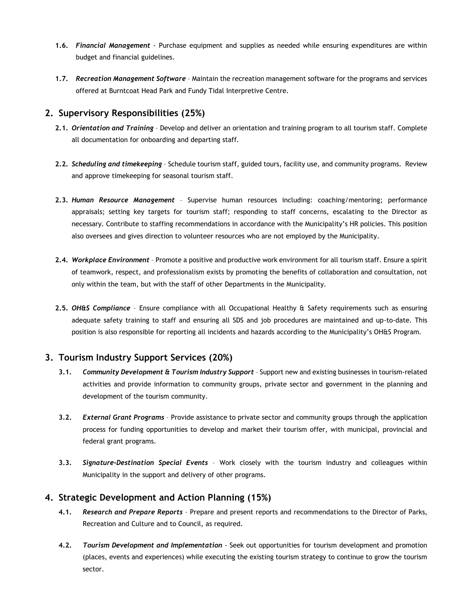- **1.6.** *Financial Management* Purchase equipment and supplies as needed while ensuring expenditures are within budget and financial guidelines.
- **1.7.** *Recreation Management Software* Maintain the recreation management software for the programs and services offered at Burntcoat Head Park and Fundy Tidal Interpretive Centre.

## **2. Supervisory Responsibilities (25%)**

- **2.1.** *Orientation and Training* Develop and deliver an orientation and training program to all tourism staff. Complete all documentation for onboarding and departing staff.
- **2.2.** *Scheduling and timekeeping* Schedule tourism staff, guided tours, facility use, and community programs. Review and approve timekeeping for seasonal tourism staff.
- **2.3.** *Human Resource Management* Supervise human resources including: coaching/mentoring; performance appraisals; setting key targets for tourism staff; responding to staff concerns, escalating to the Director as necessary. Contribute to staffing recommendations in accordance with the Municipality's HR policies. This position also oversees and gives direction to volunteer resources who are not employed by the Municipality.
- **2.4.** *Workplace Environment* Promote a positive and productive work environment for all tourism staff. Ensure a spirit of teamwork, respect, and professionalism exists by promoting the benefits of collaboration and consultation, not only within the team, but with the staff of other Departments in the Municipality.
- **2.5.** *OH&S Compliance* Ensure compliance with all Occupational Healthy & Safety requirements such as ensuring adequate safety training to staff and ensuring all SDS and job procedures are maintained and up-to-date. This position is also responsible for reporting all incidents and hazards according to the Municipality's OH&S Program.

# **3. Tourism Industry Support Services (20%)**

- **3.1.** *Community Development & Tourism Industry Support* Support new and existing businesses in tourism-related activities and provide information to community groups, private sector and government in the planning and development of the tourism community.
- **3.2.** *External Grant Programs* Provide assistance to private sector and community groups through the application process for funding opportunities to develop and market their tourism offer, with municipal, provincial and federal grant programs.
- **3.3.** *Signature-Destination Special Events* Work closely with the tourism industry and colleagues within Municipality in the support and delivery of other programs.

### **4. Strategic Development and Action Planning (15%)**

- **4.1.** *Research and Prepare Reports* Prepare and present reports and recommendations to the Director of Parks, Recreation and Culture and to Council, as required.
- **4.2.** *Tourism Development and Implementation*  Seek out opportunities for tourism development and promotion (places, events and experiences) while executing the existing tourism strategy to continue to grow the tourism sector.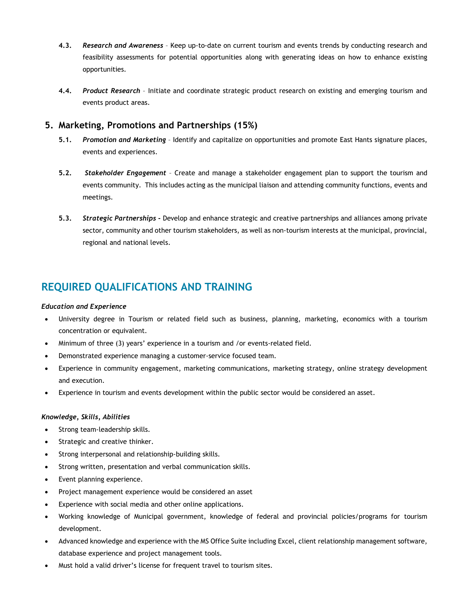- **4.3.** *Research and Awareness* Keep up-to-date on current tourism and events trends by conducting research and feasibility assessments for potential opportunities along with generating ideas on how to enhance existing opportunities.
- **4.4.** *Product Research*  Initiate and coordinate strategic product research on existing and emerging tourism and events product areas.

### **5. Marketing, Promotions and Partnerships (15%)**

- **5.1.** *Promotion and Marketing* Identify and capitalize on opportunities and promote East Hants signature places, events and experiences.
- **5.2.** *Stakeholder Engagement* Create and manage a stakeholder engagement plan to support the tourism and events community. This includes acting as the municipal liaison and attending community functions, events and meetings.
- **5.3.** *Strategic Partnerships -* Develop and enhance strategic and creative partnerships and alliances among private sector, community and other tourism stakeholders, as well as non-tourism interests at the municipal, provincial, regional and national levels.

# **REQUIRED QUALIFICATIONS AND TRAINING**

#### *Education and Experience*

- University degree in Tourism or related field such as business, planning, marketing, economics with a tourism concentration or equivalent.
- Minimum of three (3) years' experience in a tourism and /or events-related field.
- Demonstrated experience managing a customer-service focused team.
- Experience in community engagement, marketing communications, marketing strategy, online strategy development and execution.
- Experience in tourism and events development within the public sector would be considered an asset.

#### *Knowledge, Skills, Abilities*

- Strong team-leadership skills.
- Strategic and creative thinker.
- Strong interpersonal and relationship-building skills.
- Strong written, presentation and verbal communication skills.
- Event planning experience.
- Project management experience would be considered an asset
- Experience with social media and other online applications.
- Working knowledge of Municipal government, knowledge of federal and provincial policies/programs for tourism development.
- Advanced knowledge and experience with the MS Office Suite including Excel, client relationship management software, database experience and project management tools.
- Must hold a valid driver's license for frequent travel to tourism sites.